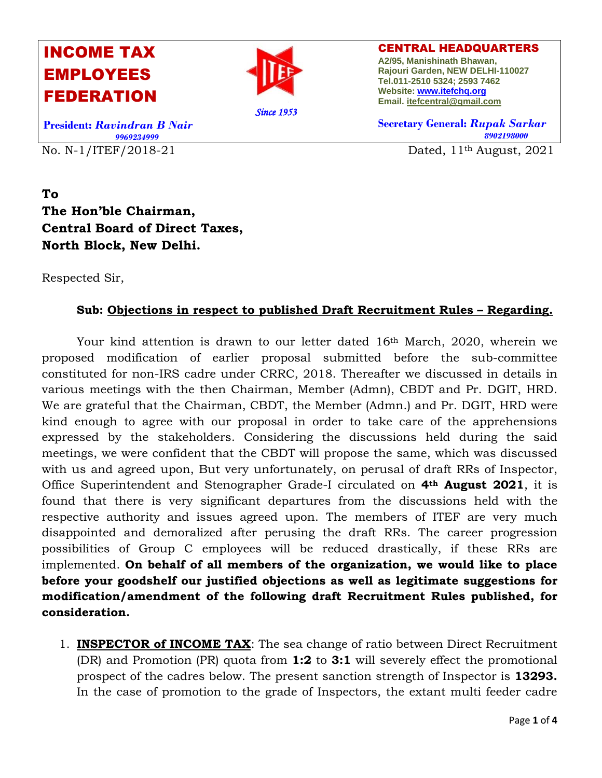## INCOME TAX EMPLOYEES FEDERATION



CENTRAL HEADQUARTERS **A2/95, Manishinath Bhawan, Rajouri Garden, NEW DELHI-110027 Tel.011-2510 5324; 2593 7462 Website[: www.itefchq.org](http://www.itefchq.org/) Email[. itefcentral@gmail.com](mailto:itefcentral@gmail.com)**

No. N-1/ITEF/2018-21 Dated,  $11<sup>th</sup>$  August,  $2021$ **President:** *Ravindran B Nair 9969234999* 

**Secretary General:** *Rupak Sarkar 8902198000*

**To The Hon'ble Chairman, Central Board of Direct Taxes, North Block, New Delhi.**

Respected Sir,

## **Sub: Objections in respect to published Draft Recruitment Rules – Regarding.**

Your kind attention is drawn to our letter dated 16th March, 2020, wherein we proposed modification of earlier proposal submitted before the sub-committee constituted for non-IRS cadre under CRRC, 2018. Thereafter we discussed in details in various meetings with the then Chairman, Member (Admn), CBDT and Pr. DGIT, HRD. We are grateful that the Chairman, CBDT, the Member (Admn.) and Pr. DGIT, HRD were kind enough to agree with our proposal in order to take care of the apprehensions expressed by the stakeholders. Considering the discussions held during the said meetings, we were confident that the CBDT will propose the same, which was discussed with us and agreed upon, But very unfortunately, on perusal of draft RRs of Inspector, Office Superintendent and Stenographer Grade-I circulated on **4th August 2021**, it is found that there is very significant departures from the discussions held with the respective authority and issues agreed upon. The members of ITEF are very much disappointed and demoralized after perusing the draft RRs. The career progression possibilities of Group C employees will be reduced drastically, if these RRs are implemented. **On behalf of all members of the organization, we would like to place before your goodshelf our justified objections as well as legitimate suggestions for modification/amendment of the following draft Recruitment Rules published, for consideration.**

1. **INSPECTOR of INCOME TAX**: The sea change of ratio between Direct Recruitment (DR) and Promotion (PR) quota from **1:2** to **3:1** will severely effect the promotional prospect of the cadres below. The present sanction strength of Inspector is **13293.**  In the case of promotion to the grade of Inspectors, the extant multi feeder cadre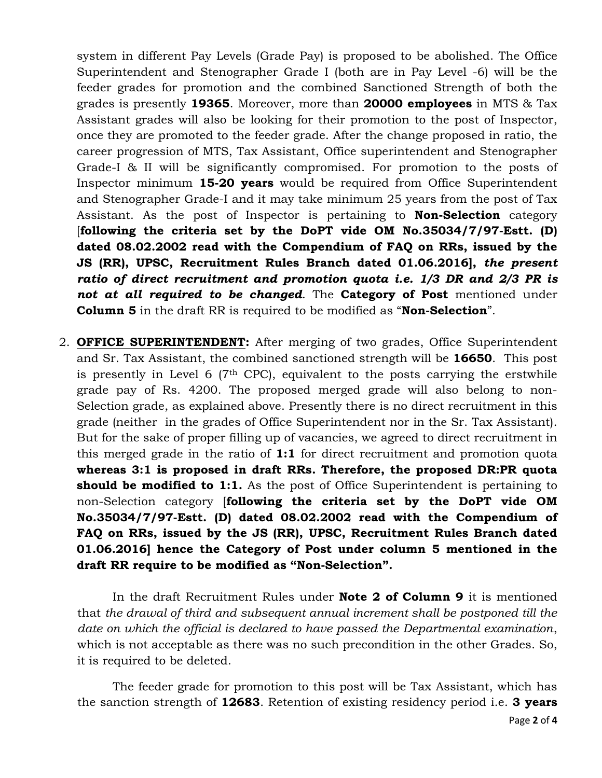system in different Pay Levels (Grade Pay) is proposed to be abolished. The Office Superintendent and Stenographer Grade I (both are in Pay Level -6) will be the feeder grades for promotion and the combined Sanctioned Strength of both the grades is presently **19365**. Moreover, more than **20000 employees** in MTS & Tax Assistant grades will also be looking for their promotion to the post of Inspector, once they are promoted to the feeder grade. After the change proposed in ratio, the career progression of MTS, Tax Assistant, Office superintendent and Stenographer Grade-I & II will be significantly compromised. For promotion to the posts of Inspector minimum **15-20 years** would be required from Office Superintendent and Stenographer Grade-I and it may take minimum 25 years from the post of Tax Assistant. As the post of Inspector is pertaining to **Non-Selection** category [**following the criteria set by the DoPT vide OM No.35034/7/97-Estt. (D) dated 08.02.2002 read with the Compendium of FAQ on RRs, issued by the JS (RR), UPSC, Recruitment Rules Branch dated 01.06.2016],** *the present ratio of direct recruitment and promotion quota i.e. 1/3 DR and 2/3 PR is not at all required to be changed*. The **Category of Post** mentioned under **Column 5** in the draft RR is required to be modified as "**Non-Selection**".

2. **OFFICE SUPERINTENDENT:** After merging of two grades, Office Superintendent and Sr. Tax Assistant, the combined sanctioned strength will be **16650**. This post is presently in Level 6 ( $7<sup>th</sup>$  CPC), equivalent to the posts carrying the erstwhile grade pay of Rs. 4200. The proposed merged grade will also belong to non-Selection grade, as explained above. Presently there is no direct recruitment in this grade (neither in the grades of Office Superintendent nor in the Sr. Tax Assistant). But for the sake of proper filling up of vacancies, we agreed to direct recruitment in this merged grade in the ratio of **1:1** for direct recruitment and promotion quota **whereas 3:1 is proposed in draft RRs. Therefore, the proposed DR:PR quota should be modified to 1:1.** As the post of Office Superintendent is pertaining to non-Selection category [**following the criteria set by the DoPT vide OM No.35034/7/97-Estt. (D) dated 08.02.2002 read with the Compendium of FAQ on RRs, issued by the JS (RR), UPSC, Recruitment Rules Branch dated 01.06.2016] hence the Category of Post under column 5 mentioned in the draft RR require to be modified as "Non-Selection".**

In the draft Recruitment Rules under **Note 2 of Column 9** it is mentioned that *the drawal of third and subsequent annual increment shall be postponed till the date on which the official is declared to have passed the Departmental examination*, which is not acceptable as there was no such precondition in the other Grades. So, it is required to be deleted.

The feeder grade for promotion to this post will be Tax Assistant, which has the sanction strength of **12683**. Retention of existing residency period i.e. **3 years**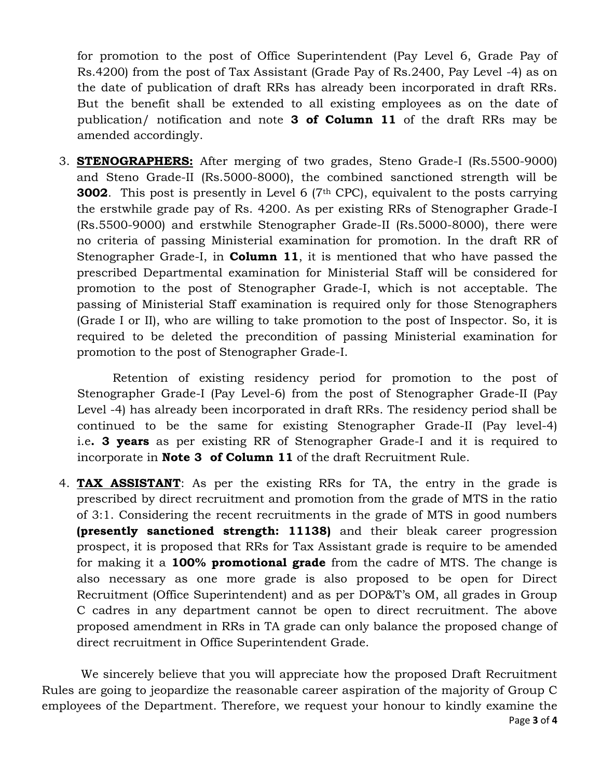for promotion to the post of Office Superintendent (Pay Level 6, Grade Pay of Rs.4200) from the post of Tax Assistant (Grade Pay of Rs.2400, Pay Level -4) as on the date of publication of draft RRs has already been incorporated in draft RRs. But the benefit shall be extended to all existing employees as on the date of publication/ notification and note **3 of Column 11** of the draft RRs may be amended accordingly.

3. **STENOGRAPHERS:** After merging of two grades, Steno Grade-I (Rs.5500-9000) and Steno Grade-II (Rs.5000-8000), the combined sanctioned strength will be **3002**. This post is presently in Level 6 (7<sup>th</sup> CPC), equivalent to the posts carrying the erstwhile grade pay of Rs. 4200. As per existing RRs of Stenographer Grade-I (Rs.5500-9000) and erstwhile Stenographer Grade-II (Rs.5000-8000), there were no criteria of passing Ministerial examination for promotion. In the draft RR of Stenographer Grade-I, in **Column 11**, it is mentioned that who have passed the prescribed Departmental examination for Ministerial Staff will be considered for promotion to the post of Stenographer Grade-I, which is not acceptable. The passing of Ministerial Staff examination is required only for those Stenographers (Grade I or II), who are willing to take promotion to the post of Inspector. So, it is required to be deleted the precondition of passing Ministerial examination for promotion to the post of Stenographer Grade-I.

Retention of existing residency period for promotion to the post of Stenographer Grade-I (Pay Level-6) from the post of Stenographer Grade-II (Pay Level -4) has already been incorporated in draft RRs. The residency period shall be continued to be the same for existing Stenographer Grade-II (Pay level-4) i.e**. 3 years** as per existing RR of Stenographer Grade-I and it is required to incorporate in **Note 3 of Column 11** of the draft Recruitment Rule.

4. **TAX ASSISTANT**: As per the existing RRs for TA, the entry in the grade is prescribed by direct recruitment and promotion from the grade of MTS in the ratio of 3:1. Considering the recent recruitments in the grade of MTS in good numbers **(presently sanctioned strength: 11138)** and their bleak career progression prospect, it is proposed that RRs for Tax Assistant grade is require to be amended for making it a **100% promotional grade** from the cadre of MTS. The change is also necessary as one more grade is also proposed to be open for Direct Recruitment (Office Superintendent) and as per DOP&T's OM, all grades in Group C cadres in any department cannot be open to direct recruitment. The above proposed amendment in RRs in TA grade can only balance the proposed change of direct recruitment in Office Superintendent Grade.

Page **3** of **4** We sincerely believe that you will appreciate how the proposed Draft Recruitment Rules are going to jeopardize the reasonable career aspiration of the majority of Group C employees of the Department. Therefore, we request your honour to kindly examine the